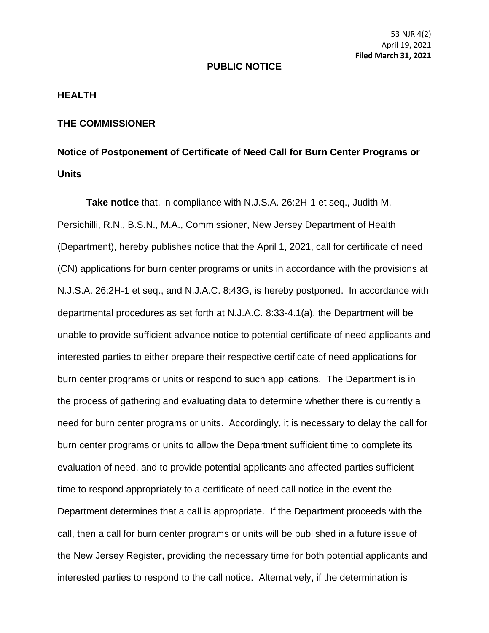## **PUBLIC NOTICE**

## **HEALTH**

## **THE COMMISSIONER**

## **Notice of Postponement of Certificate of Need Call for Burn Center Programs or Units**

**Take notice** that, in compliance with N.J.S.A. 26:2H-1 et seq., Judith M. Persichilli, R.N., B.S.N., M.A., Commissioner, New Jersey Department of Health (Department), hereby publishes notice that the April 1, 2021, call for certificate of need (CN) applications for burn center programs or units in accordance with the provisions at N.J.S.A. 26:2H-1 et seq., and N.J.A.C. 8:43G, is hereby postponed. In accordance with departmental procedures as set forth at N.J.A.C. 8:33-4.1(a), the Department will be unable to provide sufficient advance notice to potential certificate of need applicants and interested parties to either prepare their respective certificate of need applications for burn center programs or units or respond to such applications. The Department is in the process of gathering and evaluating data to determine whether there is currently a need for burn center programs or units. Accordingly, it is necessary to delay the call for burn center programs or units to allow the Department sufficient time to complete its evaluation of need, and to provide potential applicants and affected parties sufficient time to respond appropriately to a certificate of need call notice in the event the Department determines that a call is appropriate. If the Department proceeds with the call, then a call for burn center programs or units will be published in a future issue of the New Jersey Register, providing the necessary time for both potential applicants and interested parties to respond to the call notice. Alternatively, if the determination is